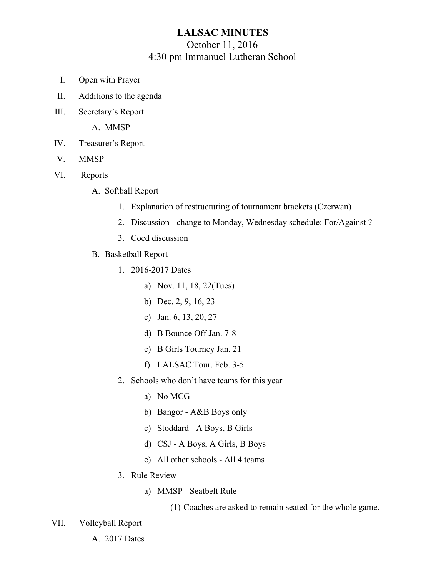## **LALSAC MINUTES** October 11, 2016 4:30 pm Immanuel Lutheran School

- I. Open with Prayer
- II. Additions to the agenda
- III. Secretary's Report

A. MMSP

- IV. Treasurer's Report
- V. MMSP
- VI. Reports
	- A. Softball Report
		- 1. Explanation of restructuring of tournament brackets (Czerwan)
		- 2. Discussion change to Monday, Wednesday schedule: For/Against ?
		- 3. Coed discussion
	- B. Basketball Report
		- 1. 2016-2017 Dates
			- a) Nov. 11, 18, 22(Tues)
			- b) Dec. 2, 9, 16, 23
			- c) Jan. 6, 13, 20, 27
			- d) B Bounce Off Jan. 7-8
			- e) B Girls Tourney Jan. 21
			- f) LALSAC Tour. Feb. 3-5
		- 2. Schools who don't have teams for this year
			- a) No MCG
			- b) Bangor A&B Boys only
			- c) Stoddard A Boys, B Girls
			- d) CSJ A Boys, A Girls, B Boys
			- e) All other schools All 4 teams
		- 3. Rule Review
			- a) MMSP Seatbelt Rule
				- (1) Coaches are asked to remain seated for the whole game.

## VII. Volleyball Report

A. 2017 Dates